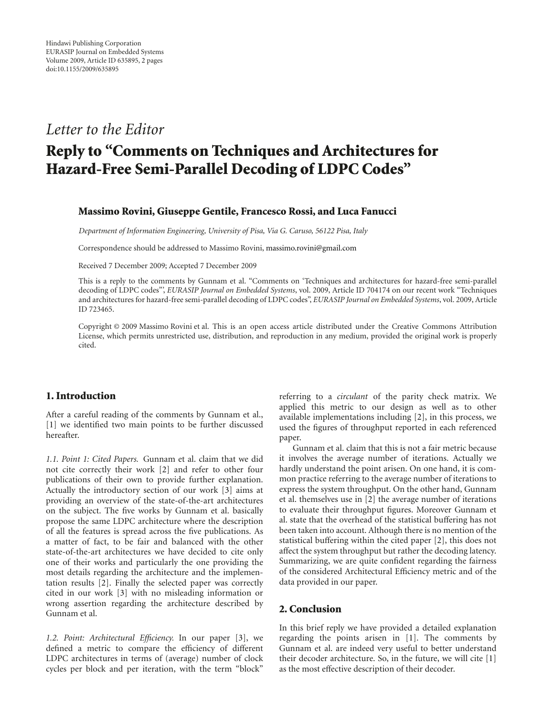## *Letter to the Editor*

# **Reply to "Comments on Techniques and Architectures for Hazard-Free Semi-Parallel Decoding of LDPC Codes"**

#### **Massimo Rovini, Giuseppe Gentile, Francesco Rossi, and Luca Fanucci**

*Department of Information Engineering, University of Pisa, Via G. Caruso, 56122 Pisa, Italy*

Correspondence should be addressed to Massimo Rovini, massimo.rovini@gmail.com

Received 7 December 2009; Accepted 7 December 2009

This is a reply to the comments by Gunnam et al. "Comments on 'Techniques and architectures for hazard-free semi-parallel decoding of LDPC codes"', *EURASIP Journal on Embedded Systems*, vol. 2009, Article ID 704174 on our recent work "Techniques and architectures for hazard-free semi-parallel decoding of LDPC codes", *EURASIP Journal on Embedded Systems*, vol. 2009, Article ID 723465.

Copyright © 2009 Massimo Rovini et al. This is an open access article distributed under the Creative Commons Attribution License, which permits unrestricted use, distribution, and reproduction in any medium, provided the original work is properly cited.

## **1. Introduction**

After a careful reading of the comments by Gunnam et al., [1] we identified two main points to be further discussed hereafter.

*1.1. Point 1: Cited Papers.* Gunnam et al. claim that we did not cite correctly their work [2] and refer to other four publications of their own to provide further explanation. Actually the introductory section of our work [3] aims at providing an overview of the state-of-the-art architectures on the subject. The five works by Gunnam et al. basically propose the same LDPC architecture where the description of all the features is spread across the five publications. As a matter of fact, to be fair and balanced with the other state-of-the-art architectures we have decided to cite only one of their works and particularly the one providing the most details regarding the architecture and the implementation results [2]. Finally the selected paper was correctly cited in our work [3] with no misleading information or wrong assertion regarding the architecture described by Gunnam et al.

1.2. Point: Architectural Efficiency. In our paper [3], we defined a metric to compare the efficiency of different LDPC architectures in terms of (average) number of clock cycles per block and per iteration, with the term "block"

referring to a *circulant* of the parity check matrix. We applied this metric to our design as well as to other available implementations including [2], in this process, we used the figures of throughput reported in each referenced paper.

Gunnam et al. claim that this is not a fair metric because it involves the average number of iterations. Actually we hardly understand the point arisen. On one hand, it is common practice referring to the average number of iterations to express the system throughput. On the other hand, Gunnam et al. themselves use in [2] the average number of iterations to evaluate their throughput figures. Moreover Gunnam et al. state that the overhead of the statistical buffering has not been taken into account. Although there is no mention of the statistical buffering within the cited paper [2], this does not affect the system throughput but rather the decoding latency. Summarizing, we are quite confident regarding the fairness of the considered Architectural Efficiency metric and of the data provided in our paper.

#### **2. Conclusion**

In this brief reply we have provided a detailed explanation regarding the points arisen in [1]. The comments by Gunnam et al. are indeed very useful to better understand their decoder architecture. So, in the future, we will cite [1] as the most effective description of their decoder.